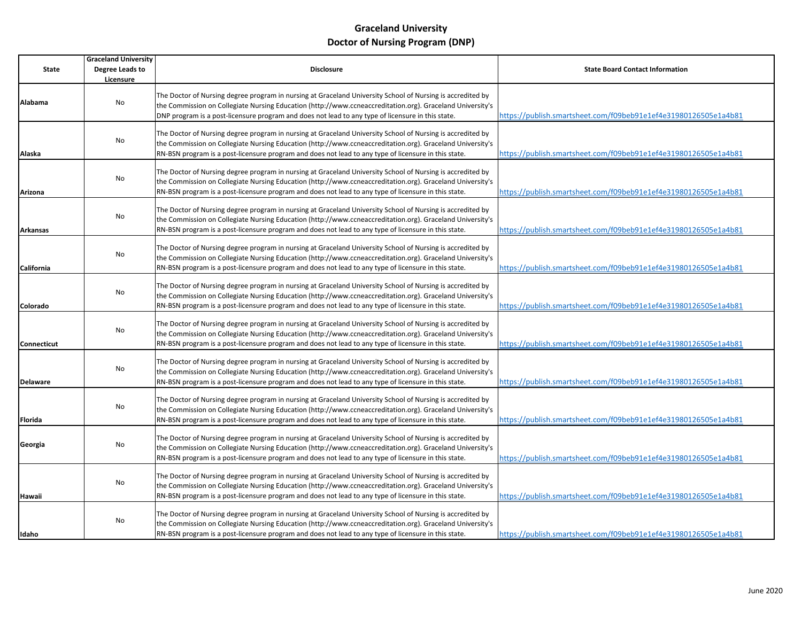|                 | <b>Graceland University</b> |                                                                                                                                                                                                                                                                                                                                 |                                                                 |
|-----------------|-----------------------------|---------------------------------------------------------------------------------------------------------------------------------------------------------------------------------------------------------------------------------------------------------------------------------------------------------------------------------|-----------------------------------------------------------------|
| State           | Degree Leads to             | <b>Disclosure</b>                                                                                                                                                                                                                                                                                                               | <b>State Board Contact Information</b>                          |
|                 | Licensure                   |                                                                                                                                                                                                                                                                                                                                 |                                                                 |
| Alabama         | No                          | The Doctor of Nursing degree program in nursing at Graceland University School of Nursing is accredited by<br>the Commission on Collegiate Nursing Education (http://www.ccneaccreditation.org). Graceland University's<br>DNP program is a post-licensure program and does not lead to any type of licensure in this state.    | https://publish.smartsheet.com/f09beb91e1ef4e31980126505e1a4b81 |
| Alaska          | No                          | The Doctor of Nursing degree program in nursing at Graceland University School of Nursing is accredited by<br>the Commission on Collegiate Nursing Education (http://www.ccneaccreditation.org). Graceland University's<br>RN-BSN program is a post-licensure program and does not lead to any type of licensure in this state. | https://publish.smartsheet.com/f09beb91e1ef4e31980126505e1a4b81 |
| Arizona         | No                          | The Doctor of Nursing degree program in nursing at Graceland University School of Nursing is accredited by<br>the Commission on Collegiate Nursing Education (http://www.ccneaccreditation.org). Graceland University's<br>RN-BSN program is a post-licensure program and does not lead to any type of licensure in this state. | https://publish.smartsheet.com/f09beb91e1ef4e31980126505e1a4b81 |
| Arkansas        | No                          | The Doctor of Nursing degree program in nursing at Graceland University School of Nursing is accredited by<br>the Commission on Collegiate Nursing Education (http://www.ccneaccreditation.org). Graceland University's<br>RN-BSN program is a post-licensure program and does not lead to any type of licensure in this state. | https://publish.smartsheet.com/f09beb91e1ef4e31980126505e1a4b81 |
| California      | No                          | The Doctor of Nursing degree program in nursing at Graceland University School of Nursing is accredited by<br>the Commission on Collegiate Nursing Education (http://www.ccneaccreditation.org). Graceland University's<br>RN-BSN program is a post-licensure program and does not lead to any type of licensure in this state. | https://publish.smartsheet.com/f09beb91e1ef4e31980126505e1a4b81 |
| Colorado        | No                          | The Doctor of Nursing degree program in nursing at Graceland University School of Nursing is accredited by<br>the Commission on Collegiate Nursing Education (http://www.ccneaccreditation.org). Graceland University's<br>RN-BSN program is a post-licensure program and does not lead to any type of licensure in this state. | https://publish.smartsheet.com/f09beb91e1ef4e31980126505e1a4b81 |
| Connecticut     | No                          | The Doctor of Nursing degree program in nursing at Graceland University School of Nursing is accredited by<br>the Commission on Collegiate Nursing Education (http://www.ccneaccreditation.org). Graceland University's<br>RN-BSN program is a post-licensure program and does not lead to any type of licensure in this state. | https://publish.smartsheet.com/f09beb91e1ef4e31980126505e1a4b81 |
| <b>Delaware</b> | No                          | The Doctor of Nursing degree program in nursing at Graceland University School of Nursing is accredited by<br>the Commission on Collegiate Nursing Education (http://www.ccneaccreditation.org). Graceland University's<br>RN-BSN program is a post-licensure program and does not lead to any type of licensure in this state. | https://publish.smartsheet.com/f09beb91e1ef4e31980126505e1a4b81 |
| Florida         | No                          | The Doctor of Nursing degree program in nursing at Graceland University School of Nursing is accredited by<br>the Commission on Collegiate Nursing Education (http://www.ccneaccreditation.org). Graceland University's<br>RN-BSN program is a post-licensure program and does not lead to any type of licensure in this state. | https://publish.smartsheet.com/f09beb91e1ef4e31980126505e1a4b81 |
| Georgia         | No                          | The Doctor of Nursing degree program in nursing at Graceland University School of Nursing is accredited by<br>the Commission on Collegiate Nursing Education (http://www.ccneaccreditation.org). Graceland University's<br>RN-BSN program is a post-licensure program and does not lead to any type of licensure in this state. | https://publish.smartsheet.com/f09beb91e1ef4e31980126505e1a4b81 |
| Hawaii          | No                          | The Doctor of Nursing degree program in nursing at Graceland University School of Nursing is accredited by<br>the Commission on Collegiate Nursing Education (http://www.ccneaccreditation.org). Graceland University's<br>RN-BSN program is a post-licensure program and does not lead to any type of licensure in this state. | https://publish.smartsheet.com/f09beb91e1ef4e31980126505e1a4b81 |
| Idaho           | No                          | The Doctor of Nursing degree program in nursing at Graceland University School of Nursing is accredited by<br>the Commission on Collegiate Nursing Education (http://www.ccneaccreditation.org). Graceland University's<br>RN-BSN program is a post-licensure program and does not lead to any type of licensure in this state. | https://publish.smartsheet.com/f09beb91e1ef4e31980126505e1a4b81 |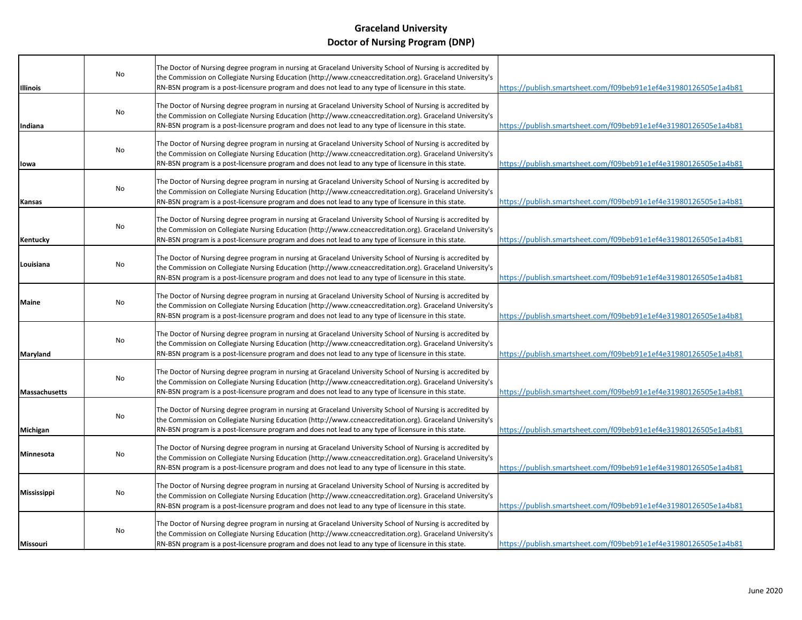| <b>Illinois</b>      | No | The Doctor of Nursing degree program in nursing at Graceland University School of Nursing is accredited by<br>the Commission on Collegiate Nursing Education (http://www.ccneaccreditation.org). Graceland University's<br>RN-BSN program is a post-licensure program and does not lead to any type of licensure in this state. | https://publish.smartsheet.com/f09beb91e1ef4e31980126505e1a4b81 |
|----------------------|----|---------------------------------------------------------------------------------------------------------------------------------------------------------------------------------------------------------------------------------------------------------------------------------------------------------------------------------|-----------------------------------------------------------------|
| Indiana              | No | The Doctor of Nursing degree program in nursing at Graceland University School of Nursing is accredited by<br>the Commission on Collegiate Nursing Education (http://www.ccneaccreditation.org). Graceland University's<br>RN-BSN program is a post-licensure program and does not lead to any type of licensure in this state. | https://publish.smartsheet.com/f09beb91e1ef4e31980126505e1a4b81 |
| lowa                 | No | The Doctor of Nursing degree program in nursing at Graceland University School of Nursing is accredited by<br>the Commission on Collegiate Nursing Education (http://www.ccneaccreditation.org). Graceland University's<br>RN-BSN program is a post-licensure program and does not lead to any type of licensure in this state. | https://publish.smartsheet.com/f09beb91e1ef4e31980126505e1a4b81 |
| Kansas               | No | The Doctor of Nursing degree program in nursing at Graceland University School of Nursing is accredited by<br>the Commission on Collegiate Nursing Education (http://www.ccneaccreditation.org). Graceland University's<br>RN-BSN program is a post-licensure program and does not lead to any type of licensure in this state. | https://publish.smartsheet.com/f09beb91e1ef4e31980126505e1a4b81 |
| Kentucky             | No | The Doctor of Nursing degree program in nursing at Graceland University School of Nursing is accredited by<br>the Commission on Collegiate Nursing Education (http://www.ccneaccreditation.org). Graceland University's<br>RN-BSN program is a post-licensure program and does not lead to any type of licensure in this state. | https://publish.smartsheet.com/f09beb91e1ef4e31980126505e1a4b81 |
| Louisiana            | No | The Doctor of Nursing degree program in nursing at Graceland University School of Nursing is accredited by<br>the Commission on Collegiate Nursing Education (http://www.ccneaccreditation.org). Graceland University's<br>RN-BSN program is a post-licensure program and does not lead to any type of licensure in this state. | https://publish.smartsheet.com/f09beb91e1ef4e31980126505e1a4b81 |
| Maine                | No | The Doctor of Nursing degree program in nursing at Graceland University School of Nursing is accredited by<br>the Commission on Collegiate Nursing Education (http://www.ccneaccreditation.org). Graceland University's<br>RN-BSN program is a post-licensure program and does not lead to any type of licensure in this state. | https://publish.smartsheet.com/f09beb91e1ef4e31980126505e1a4b81 |
| Maryland             | No | The Doctor of Nursing degree program in nursing at Graceland University School of Nursing is accredited by<br>the Commission on Collegiate Nursing Education (http://www.ccneaccreditation.org). Graceland University's<br>RN-BSN program is a post-licensure program and does not lead to any type of licensure in this state. | https://publish.smartsheet.com/f09beb91e1ef4e31980126505e1a4b81 |
| <b>Massachusetts</b> | No | The Doctor of Nursing degree program in nursing at Graceland University School of Nursing is accredited by<br>the Commission on Collegiate Nursing Education (http://www.ccneaccreditation.org). Graceland University's<br>RN-BSN program is a post-licensure program and does not lead to any type of licensure in this state. | https://publish.smartsheet.com/f09beb91e1ef4e31980126505e1a4b81 |
| Michigan             | No | The Doctor of Nursing degree program in nursing at Graceland University School of Nursing is accredited by<br>the Commission on Collegiate Nursing Education (http://www.ccneaccreditation.org). Graceland University's<br>RN-BSN program is a post-licensure program and does not lead to any type of licensure in this state. | https://publish.smartsheet.com/f09beb91e1ef4e31980126505e1a4b81 |
| Minnesota            | No | The Doctor of Nursing degree program in nursing at Graceland University School of Nursing is accredited by<br>the Commission on Collegiate Nursing Education (http://www.ccneaccreditation.org). Graceland University's<br>RN-BSN program is a post-licensure program and does not lead to any type of licensure in this state. | https://publish.smartsheet.com/f09beb91e1ef4e31980126505e1a4b81 |
| <b>Mississippi</b>   | No | The Doctor of Nursing degree program in nursing at Graceland University School of Nursing is accredited by<br>the Commission on Collegiate Nursing Education (http://www.ccneaccreditation.org). Graceland University's<br>RN-BSN program is a post-licensure program and does not lead to any type of licensure in this state. | https://publish.smartsheet.com/f09beb91e1ef4e31980126505e1a4b81 |
| Missouri             | No | The Doctor of Nursing degree program in nursing at Graceland University School of Nursing is accredited by<br>the Commission on Collegiate Nursing Education (http://www.ccneaccreditation.org). Graceland University's<br>RN-BSN program is a post-licensure program and does not lead to any type of licensure in this state. | https://publish.smartsheet.com/f09beb91e1ef4e31980126505e1a4b81 |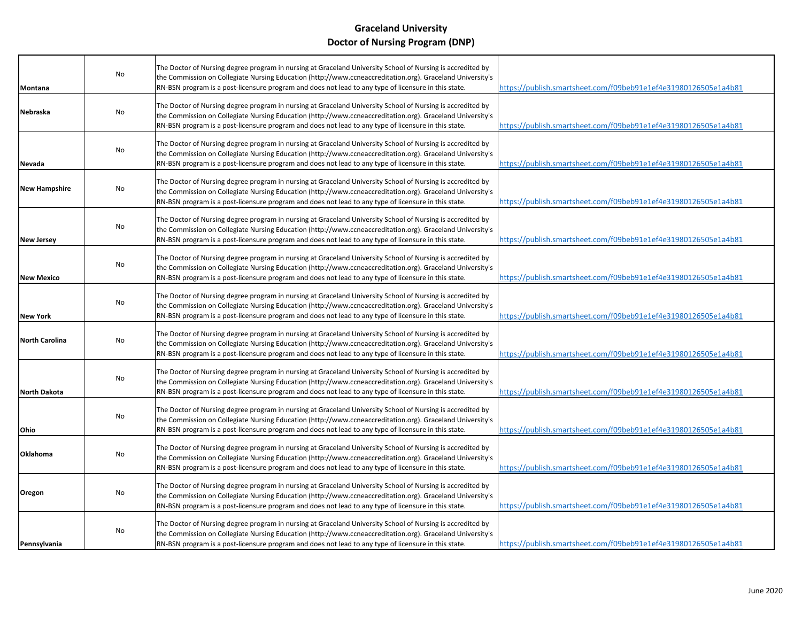| Montana               | No | The Doctor of Nursing degree program in nursing at Graceland University School of Nursing is accredited by<br>the Commission on Collegiate Nursing Education (http://www.ccneaccreditation.org). Graceland University's<br>RN-BSN program is a post-licensure program and does not lead to any type of licensure in this state. | https://publish.smartsheet.com/f09beb91e1ef4e31980126505e1a4b81 |
|-----------------------|----|---------------------------------------------------------------------------------------------------------------------------------------------------------------------------------------------------------------------------------------------------------------------------------------------------------------------------------|-----------------------------------------------------------------|
| Nebraska              | No | The Doctor of Nursing degree program in nursing at Graceland University School of Nursing is accredited by<br>the Commission on Collegiate Nursing Education (http://www.ccneaccreditation.org). Graceland University's<br>RN-BSN program is a post-licensure program and does not lead to any type of licensure in this state. | https://publish.smartsheet.com/f09beb91e1ef4e31980126505e1a4b81 |
| Nevada                | No | The Doctor of Nursing degree program in nursing at Graceland University School of Nursing is accredited by<br>the Commission on Collegiate Nursing Education (http://www.ccneaccreditation.org). Graceland University's<br>RN-BSN program is a post-licensure program and does not lead to any type of licensure in this state. | https://publish.smartsheet.com/f09beb91e1ef4e31980126505e1a4b81 |
| <b>New Hampshire</b>  | No | The Doctor of Nursing degree program in nursing at Graceland University School of Nursing is accredited by<br>the Commission on Collegiate Nursing Education (http://www.ccneaccreditation.org). Graceland University's<br>RN-BSN program is a post-licensure program and does not lead to any type of licensure in this state. | https://publish.smartsheet.com/f09beb91e1ef4e31980126505e1a4b81 |
| <b>New Jersey</b>     | No | The Doctor of Nursing degree program in nursing at Graceland University School of Nursing is accredited by<br>the Commission on Collegiate Nursing Education (http://www.ccneaccreditation.org). Graceland University's<br>RN-BSN program is a post-licensure program and does not lead to any type of licensure in this state. | https://publish.smartsheet.com/f09beb91e1ef4e31980126505e1a4b81 |
| <b>New Mexico</b>     | No | The Doctor of Nursing degree program in nursing at Graceland University School of Nursing is accredited by<br>the Commission on Collegiate Nursing Education (http://www.ccneaccreditation.org). Graceland University's<br>RN-BSN program is a post-licensure program and does not lead to any type of licensure in this state. | https://publish.smartsheet.com/f09beb91e1ef4e31980126505e1a4b81 |
| <b>New York</b>       | No | The Doctor of Nursing degree program in nursing at Graceland University School of Nursing is accredited by<br>the Commission on Collegiate Nursing Education (http://www.ccneaccreditation.org). Graceland University's<br>RN-BSN program is a post-licensure program and does not lead to any type of licensure in this state. | https://publish.smartsheet.com/f09beb91e1ef4e31980126505e1a4b81 |
| <b>North Carolina</b> | No | The Doctor of Nursing degree program in nursing at Graceland University School of Nursing is accredited by<br>the Commission on Collegiate Nursing Education (http://www.ccneaccreditation.org). Graceland University's<br>RN-BSN program is a post-licensure program and does not lead to any type of licensure in this state. | https://publish.smartsheet.com/f09beb91e1ef4e31980126505e1a4b81 |
| <b>North Dakota</b>   | No | The Doctor of Nursing degree program in nursing at Graceland University School of Nursing is accredited by<br>the Commission on Collegiate Nursing Education (http://www.ccneaccreditation.org). Graceland University's<br>RN-BSN program is a post-licensure program and does not lead to any type of licensure in this state. | https://publish.smartsheet.com/f09beb91e1ef4e31980126505e1a4b81 |
| Ohio                  | No | The Doctor of Nursing degree program in nursing at Graceland University School of Nursing is accredited by<br>the Commission on Collegiate Nursing Education (http://www.ccneaccreditation.org). Graceland University's<br>RN-BSN program is a post-licensure program and does not lead to any type of licensure in this state. | https://publish.smartsheet.com/f09beb91e1ef4e31980126505e1a4b81 |
| Oklahoma              | No | The Doctor of Nursing degree program in nursing at Graceland University School of Nursing is accredited by<br>the Commission on Collegiate Nursing Education (http://www.ccneaccreditation.org). Graceland University's<br>RN-BSN program is a post-licensure program and does not lead to any type of licensure in this state. | https://publish.smartsheet.com/f09beb91e1ef4e31980126505e1a4b81 |
| Oregon                | No | The Doctor of Nursing degree program in nursing at Graceland University School of Nursing is accredited by<br>the Commission on Collegiate Nursing Education (http://www.ccneaccreditation.org). Graceland University's<br>RN-BSN program is a post-licensure program and does not lead to any type of licensure in this state. | https://publish.smartsheet.com/f09beb91e1ef4e31980126505e1a4b81 |
| Pennsylvania          | No | The Doctor of Nursing degree program in nursing at Graceland University School of Nursing is accredited by<br>the Commission on Collegiate Nursing Education (http://www.ccneaccreditation.org). Graceland University's<br>RN-BSN program is a post-licensure program and does not lead to any type of licensure in this state. | https://publish.smartsheet.com/f09beb91e1ef4e31980126505e1a4b81 |